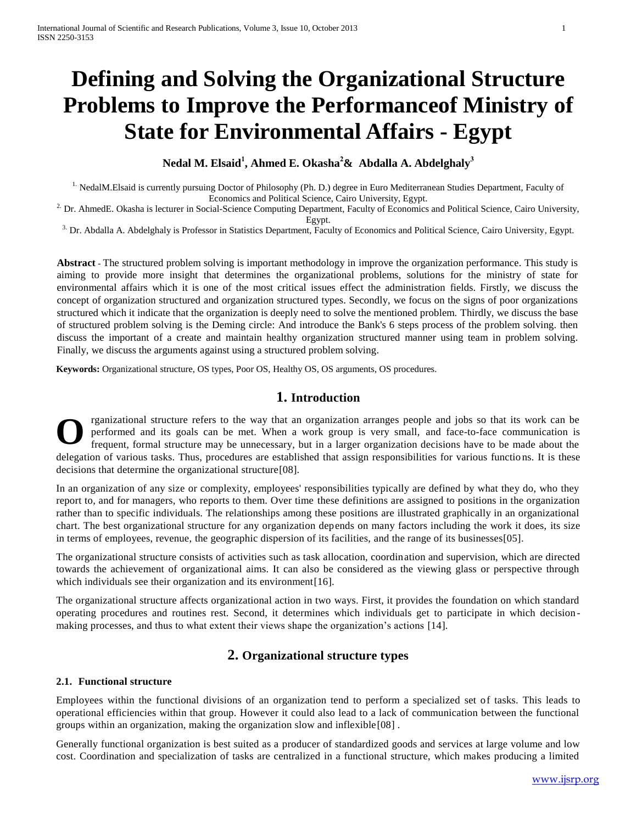# **Defining and Solving the Organizational Structure Problems to Improve the Performanceof Ministry of State for Environmental Affairs - Egypt**

# **Nedal M. Elsaid<sup>1</sup> , Ahmed E. Okasha<sup>2</sup>& Abdalla A. Abdelghaly<sup>3</sup>**

<sup>1.</sup> NedalM.Elsaid is currently pursuing Doctor of Philosophy (Ph. D.) degree in Euro Mediterranean Studies Department, Faculty of Economics and Political Science, Cairo University, Egypt.

<sup>2.</sup> Dr. AhmedE. Okasha is lecturer in Social-Science Computing Department, Faculty of Economics and Political Science, Cairo University, Egypt.

<sup>3</sup>. Dr. Abdalla A. Abdelghaly is Professor in Statistics Department, Faculty of Economics and Political Science, Cairo University, Egypt.

**Abstract -** The structured problem solving is important methodology in improve the organization performance. This study is aiming to provide more insight that determines the organizational problems, solutions for the ministry of state for environmental affairs which it is one of the most critical issues effect the administration fields. Firstly, we discuss the concept of organization structured and organization structured types. Secondly, we focus on the signs of poor organizations structured which it indicate that the organization is deeply need to solve the mentioned problem. Thirdly, we discuss the base of structured problem solving is the Deming circle: And introduce the Bank's 6 steps process of the problem solving. then discuss the important of a create and maintain healthy organization structured manner using team in problem solving. Finally, we discuss the arguments against using a structured problem solving.

**Keywords:** Organizational structure, OS types, Poor OS, Healthy OS, OS arguments, OS procedures.

# **1. Introduction**

rganizational structure refers to the way that an organization arranges people and jobs so that its work can be performed and its goals can be met. When a work group is very small, and face-to-face communication is frequent, formal structure may be unnecessary, but in a larger organization decisions have to be made about the delegation of various tasks. Thus, procedures are established that assign responsibilities for various functio ns. It is these decisions that determine the organizational structure[08]. **O**

In an organization of any size or complexity, employees' responsibilities typically are defined by what they do, who they report to, and for managers, who reports to them. Over time these definitions are assigned to positions in the organization rather than to specific individuals. The relationships among these positions are illustrated graphically in an organizational chart. The best organizational structure for any organization depends on many factors including the work it does, its size in terms of employees, revenue, the geographic dispersion of its facilities, and the range of its businesses[05].

The organizational structure consists of activities such as task allocation, coordination and supervision, which are directed towards the achievement of organizational aims. It can also be considered as the viewing glass or perspective through which individuals see their organization and its environment [16].

The organizational structure affects organizational action in two ways. First, it provides the foundation on which standard operating procedures and routines rest. Second, it determines which individuals get to participate in which decision making processes, and thus to what extent their views shape the organization's actions [14].

# **2. Organizational structure types**

#### **2.1. Functional structure**

Employees within the functional divisions of an organization tend to perform a specialized set of tasks. This leads to operational efficiencies within that group. However it could also lead to a lack of communication between the functional groups within an organization, making the organization slow and inflexible[08] .

Generally functional organization is best suited as a producer of standardized goods and services at large volume and low cost. Coordination and specialization of tasks are centralized in a functional structure, which makes producing a limited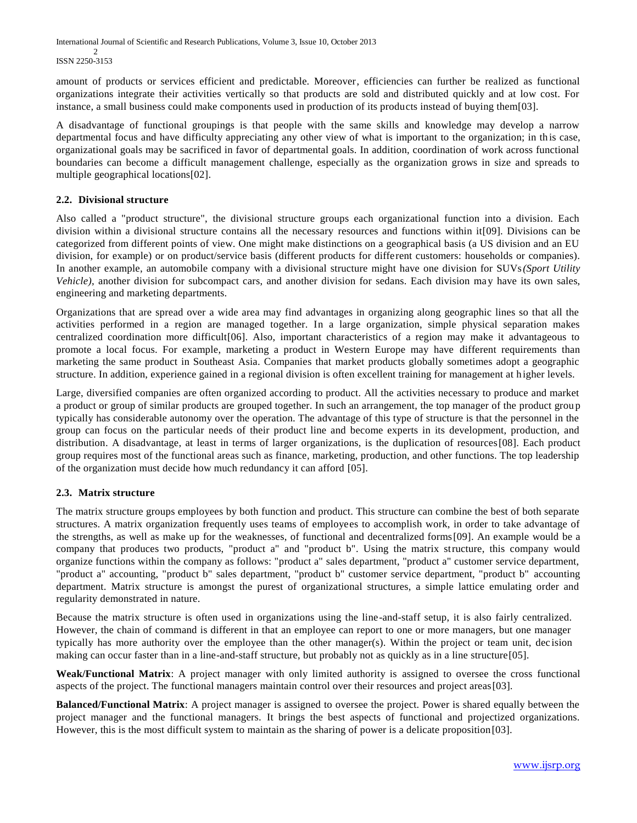International Journal of Scientific and Research Publications, Volume 3, Issue 10, October 2013 2 ISSN 2250-3153

amount of products or services efficient and predictable. Moreover, efficiencies can further be realized as functional organizations integrate their activities vertically so that products are sold and distributed quickly and at low cost. For instance, a small business could make components used in production of its products instead of buying them[03].

A disadvantage of functional groupings is that people with the same skills and knowledge may develop a narrow departmental focus and have difficulty appreciating any other view of what is important to the organization; in this case, organizational goals may be sacrificed in favor of departmental goals. In addition, coordination of work across functional boundaries can become a difficult management challenge, especially as the organization grows in size and spreads to multiple geographical locations[02].

# **2.2. Divisional structure**

Also called a "product structure", the divisional structure groups each organizational function into a division. Each division within a divisional structure contains all the necessary resources and functions within it[09]. Divisions can be categorized from different points of view. One might make distinctions on a geographical basis (a US division and an EU division, for example) or on product/service basis (different products for different customers: households or companies). In another example, an automobile company with a divisional structure might have one division for SUVs*(Sport Utility Vehicle*), another division for subcompact cars, and another division for sedans. Each division may have its own sales, engineering and marketing departments.

Organizations that are spread over a wide area may find advantages in organizing along geographic lines so that all the activities performed in a region are managed together. In a large organization, simple physical separation makes centralized coordination more difficult[06]. Also, important characteristics of a region may make it advantageous to promote a local focus. For example, marketing a product in Western Europe may have different requirements than marketing the same product in Southeast Asia. Companies that market products globally sometimes adopt a geographic structure. In addition, experience gained in a regional division is often excellent training for management at h igher levels.

Large, diversified companies are often organized according to product. All the activities necessary to produce and market a product or group of similar products are grouped together. In such an arrangement, the top manager of the product grou p typically has considerable autonomy over the operation. The advantage of this type of structure is that the personnel in the group can focus on the particular needs of their product line and become experts in its development, production, and distribution. A disadvantage, at least in terms of larger organizations, is the duplication of resources[08]. Each product group requires most of the functional areas such as finance, marketing, production, and other functions. The top leadership of the organization must decide how much redundancy it can afford [05].

#### **2.3. Matrix structure**

The matrix structure groups employees by both function and product. This structure can combine the best of both separate structures. A matrix organization frequently uses teams of employees to accomplish work, in order to take advantage of the strengths, as well as make up for the weaknesses, of functional and decentralized forms[09]. An example would be a company that produces two products, "product a" and "product b". Using the matrix structure, this company would organize functions within the company as follows: "product a" sales department, "product a" customer service department, "product a" accounting, "product b" sales department, "product b" customer service department, "product b" accounting department. Matrix structure is amongst the purest of organizational structures, a simple lattice emulating order and regularity demonstrated in nature.

Because the matrix structure is often used in organizations using the line-and-staff setup, it is also fairly centralized. However, the chain of command is different in that an employee can report to one or more managers, but one manager typically has more authority over the employee than the other manager(s). Within the project or team unit, dec ision making can occur faster than in a line-and-staff structure, but probably not as quickly as in a line structure[05].

**Weak/Functional Matrix**: A project manager with only limited authority is assigned to oversee the cross functional aspects of the project. The functional managers maintain control over their resources and project areas[03].

**Balanced/Functional Matrix**: A project manager is assigned to oversee the project. Power is shared equally between the project manager and the functional managers. It brings the best aspects of functional and projectized organizations. However, this is the most difficult system to maintain as the sharing of power is a delicate proposition[03].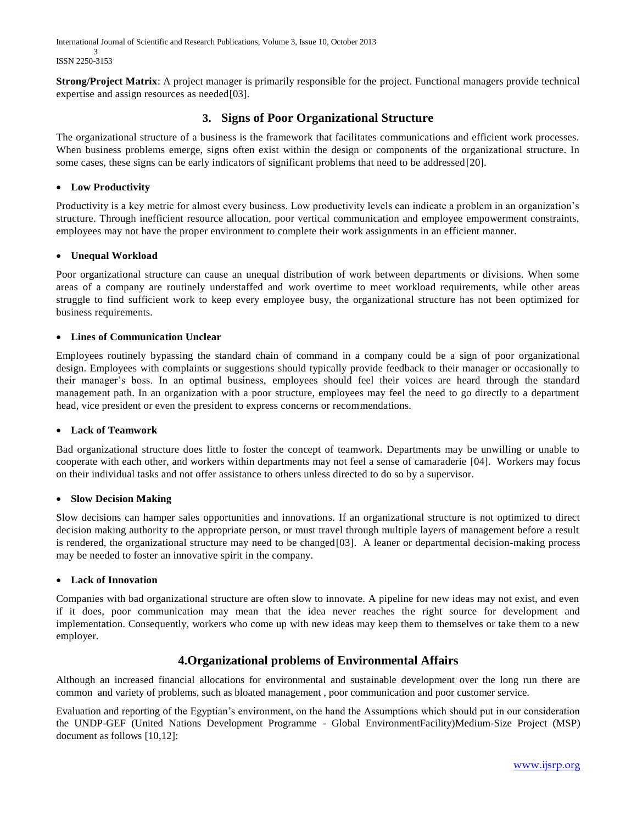International Journal of Scientific and Research Publications, Volume 3, Issue 10, October 2013 3 ISSN 2250-3153

**Strong/Project Matrix:** A project manager is primarily responsible for the project. Functional managers provide technical expertise and assign resources as needed[03].

# **3. Signs of Poor Organizational Structure**

The organizational structure of a business is the framework that facilitates communications and efficient work processes. When business problems emerge, signs often exist within the design or components of the organizational structure. In some cases, these signs can be early indicators of significant problems that need to be addressed[20].

# **Low Productivity**

Productivity is a key metric for almost every business. Low productivity levels can indicate a problem in an organization's structure. Through inefficient resource allocation, poor vertical communication and employee empowerment constraints, employees may not have the proper environment to complete their work assignments in an efficient manner.

# **Unequal Workload**

Poor organizational structure can cause an unequal distribution of work between departments or divisions. When some areas of a company are routinely understaffed and work overtime to meet workload requirements, while other areas struggle to find sufficient work to keep every employee busy, the organizational structure has not been optimized for business requirements.

# **Lines of Communication Unclear**

Employees routinely bypassing the standard chain of command in a company could be a sign of poor organizational design. Employees with complaints or suggestions should typically provide feedback to their manager or occasionally to their manager's boss. In an optimal business, employees should feel their voices are heard through the standard management path. In an organization with a poor structure, employees may feel the need to go directly to a department head, vice president or even the president to express concerns or recommendations.

# **Lack of Teamwork**

Bad organizational structure does little to foster the concept of teamwork. Departments may be unwilling or unable to cooperate with each other, and workers within departments may not feel a sense of camaraderie [04]. Workers may focus on their individual tasks and not offer assistance to others unless directed to do so by a supervisor.

# **Slow Decision Making**

Slow decisions can hamper sales opportunities and innovations. If an organizational structure is not optimized to direct decision making authority to the appropriate person, or must travel through multiple layers of management before a result is rendered, the organizational structure may need to be changed $[03]$ . A leaner or departmental decision-making process may be needed to foster an innovative spirit in the company.

# **Lack of Innovation**

Companies with bad organizational structure are often slow to innovate. A pipeline for new ideas may not exist, and even if it does, poor communication may mean that the idea never reaches the right source for development and implementation. Consequently, workers who come up with new ideas may keep them to themselves or take them to a new employer.

# **4.Organizational problems of Environmental Affairs**

Although an increased financial allocations for environmental and sustainable development over the long run there are common and variety of problems, such as bloated management , poor communication and poor customer service.

Evaluation and reporting of the Egyptian's environment, on the hand the Assumptions which should put in our consideration the UNDP-GEF (United Nations Development Programme - [Global EnvironmentFacility\)M](http://unfccc.int/files/meetings/doha_nov_2012/decisions/application/pdf/cop18_gef.pdf)edium-Size Project (MSP) document as follows [10,12]: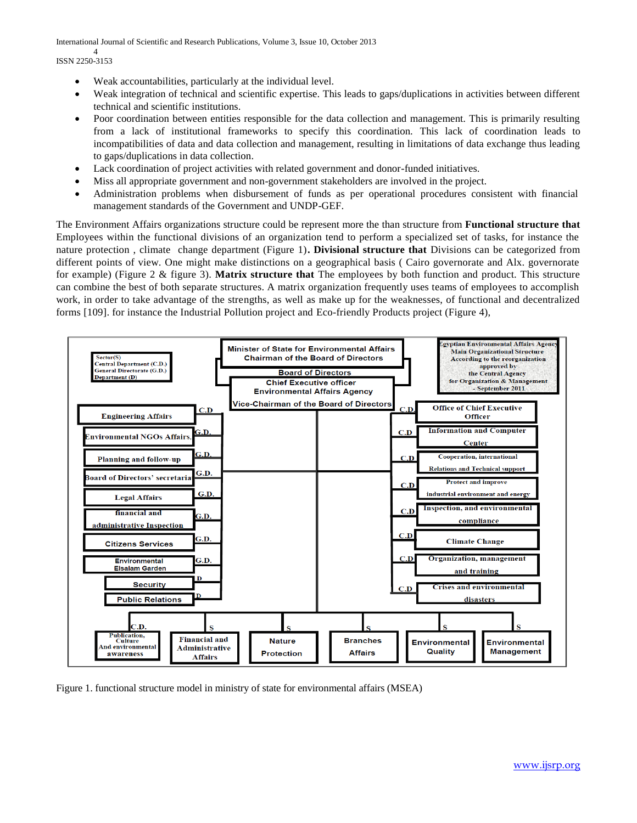International Journal of Scientific and Research Publications, Volume 3, Issue 10, October 2013 4

ISSN 2250-3153

- Weak accountabilities, particularly at the individual level.
- Weak integration of technical and scientific expertise. This leads to gaps/duplications in activities between different technical and scientific institutions.
- Poor coordination between entities responsible for the data collection and management. This is primarily resulting from a lack of institutional frameworks to specify this coordination. This lack of coordination leads to incompatibilities of data and data collection and management, resulting in limitations of data exchange thus leading to gaps/duplications in data collection.
- Lack coordination of project activities with related government and donor-funded initiatives.
- Miss all appropriate government and non-government stakeholders are involved in the project.
- Administration problems when disbursement of funds as per operational procedures consistent with financial management standards of the Government and UNDP-GEF.

The Environment Affairs organizations structure could be represent more the than structure from **Functional structure that**  Employees within the functional divisions of an organization tend to perform a specialized set of tasks, for instance the nature protection , climate change department (Figure 1)**. Divisional structure that** Divisions can be categorized from different points of view. One might make distinctions on a geographical basis ( Cairo governorate and Alx. governorate for example) (Figure 2 & figure 3). **Matrix structure that** The employees by both function and product. This structure can combine the best of both separate structures. A matrix organization frequently uses teams of employees to accomplish work, in order to take advantage of the strengths, as well as make up for the weaknesses, of functional and decentralized forms [109]. for instance the Industrial Pollution project and [Eco-friendly Products p](http://www.eeaa.gov.eg/English/main/env_ecofriendly_prod.asp)roject (Figure 4),



Figure 1. functional structure model in ministry of state for environmental affairs (MSEA)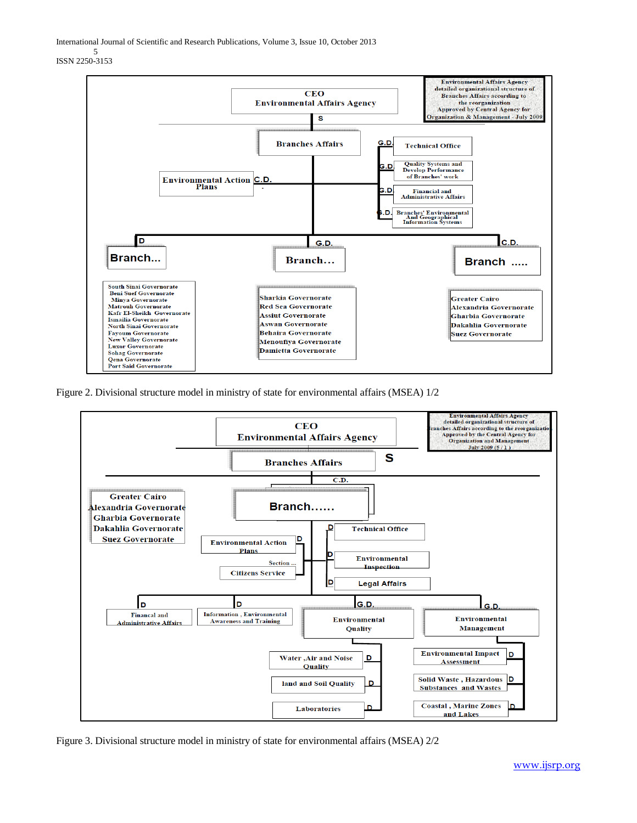International Journal of Scientific and Research Publications, Volume 3, Issue 10, October 2013

5 ISSN 2250-3153



Figure 2. Divisional structure model in ministry of state for environmental affairs (MSEA) 1/2



Figure 3. Divisional structure model in ministry of state for environmental affairs (MSEA) 2/2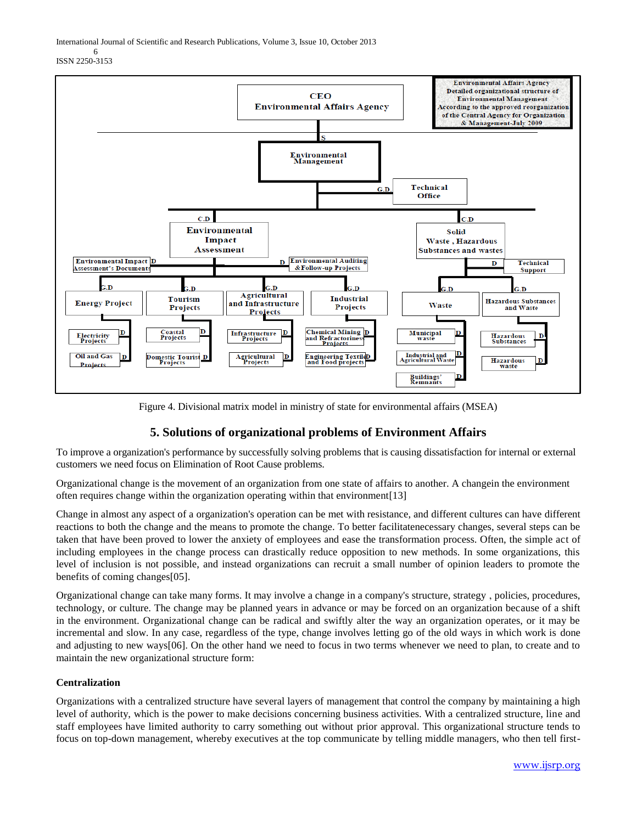International Journal of Scientific and Research Publications, Volume 3, Issue 10, October 2013

6 ISSN 2250-3153



Figure 4. Divisional matrix model in ministry of state for environmental affairs (MSEA)

# **5. Solutions of organizational problems of Environment Affairs**

To improve a organization's performance by successfully solving problems that is causing dissatisfaction for internal or external customers we need focus on Elimination of Root Cause problems.

Organizational change is the movement of an organization from one state of affairs to another. A changein the environment often requires change within the organization operating within that environment[13]

Change in almost any aspect of a organization's operation can be met with resistance, and different cultures can have different reactions to both the change and the means to promote the change. To better facilitatenecessary changes, several steps can be taken that have been proved to lower the anxiety of employees and ease the transformation process. Often, the simple act of including employees in the change process can drastically reduce opposition to new methods. In some organizations, this level of inclusion is not possible, and instead organizations can recruit a small number of opinion leaders to promote the benefits of coming changes[05].

Organizational change can take many forms. It may involve a change in a company's structure, strategy , policies, procedures, technology, or culture. The change may be planned years in advance or may be forced on an organization because of a shift in the environment. Organizational change can be radical and swiftly alter the way an organization operates, or it may be incremental and slow. In any case, regardless of the type, change involves letting go of the old ways in which work is done and adjusting to new ways[06]. On the other hand we need to focus in two terms whenever we need to plan, to create and to maintain the new organizational structure form:

# **Centralization**

Organizations with a centralized structure have several layers of management that control the company by maintaining a high level of authority, which is the power to make decisions concerning business activities. With a centralized structure, line and staff employees have limited authority to carry something out without prior approval. This organizational structure tends to focus on top-down management, whereby executives at the top communicate by telling middle managers, who then tell first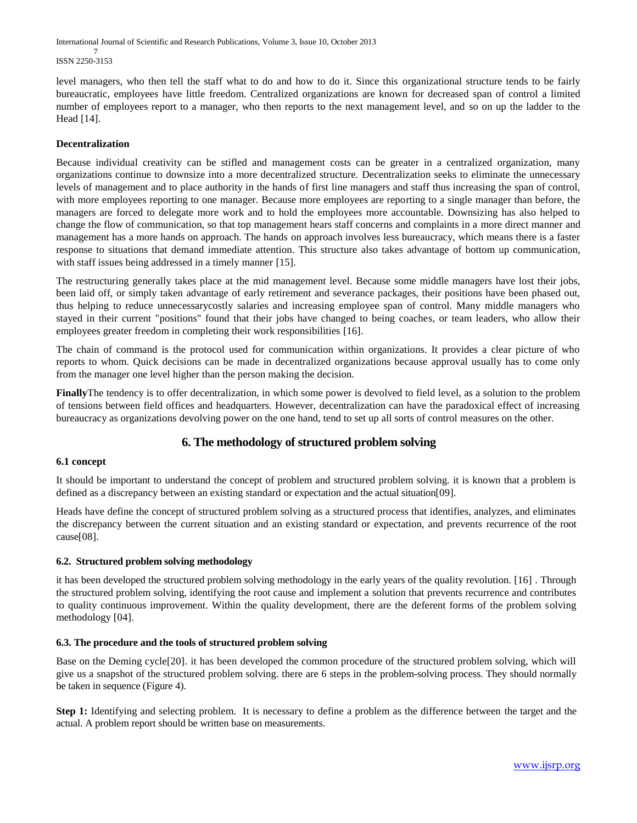International Journal of Scientific and Research Publications, Volume 3, Issue 10, October 2013 7 ISSN 2250-3153

level managers, who then tell the staff what to do and how to do it. Since this organizational structure tends to be fairly bureaucratic, employees have little freedom. Centralized organizations are known for decreased span of control a limited number of employees report to a manager, who then reports to the next management level, and so on up the ladder to the Head [14].

### **Decentralization**

Because individual creativity can be stifled and management costs can be greater in a centralized organization, many organizations continue to downsize into a more decentralized structure. Decentralization seeks to eliminate the unnecessary levels of management and to place authority in the hands of first line managers and staff thus increasing the span of control, with more employees reporting to one manager. Because more employees are reporting to a single manager than before, the managers are forced to delegate more work and to hold the employees more accountable. Downsizing has also helped to change the flow of communication, so that top management hears staff concerns and complaints in a more direct manner and management has a more hands on approach. The hands on approach involves less bureaucracy, which means there is a faster response to situations that demand immediate attention. This structure also takes advantage of bottom up communication, with staff issues being addressed in a timely manner [15].

The restructuring generally takes place at the mid management level. Because some middle managers have lost their jobs, been laid off, or simply taken advantage of early retirement and severance packages, their positions have been phased out, thus helping to reduce unnecessarycostly salaries and increasing employee span of control. Many middle managers who stayed in their current "positions" found that their jobs have changed to being coaches, or team leaders, who allow their employees greater freedom in completing their work responsibilities [16].

The chain of command is the protocol used for communication within organizations. It provides a clear picture of who reports to whom. Quick decisions can be made in decentralized organizations because approval usually has to come only from the manager one level higher than the person making the decision.

**Finally**The tendency is to offer decentralization, in which some power is devolved to field level, as a solution to the problem of tensions between field offices and headquarters. However, decentralization can have the paradoxical effect of increasing bureaucracy as organizations devolving power on the one hand, tend to set up all sorts of control measures on the other.

# **6. The methodology of structured problem solving**

#### **6.1 concept**

It should be important to understand the concept of problem and structured problem solving. it is known that a problem is defined as a discrepancy between an existing standard or expectation and the actual situation[09].

Heads have define the concept of structured problem solving as a structured process that identifies, analyzes, and eliminates the discrepancy between the current situation and an existing standard or expectation, and prevents recurrence of the root cause[08].

# **6.2. Structured problem solving methodology**

it has been developed the structured problem solving methodology in the early years of the quality revolution. [16] . Through the structured problem solving, identifying the root cause and implement a solution that prevents recurrence and contributes to quality continuous improvement. Within the quality development, there are the deferent forms of the problem solving methodology [04].

#### **6.3. The procedure and the tools of structured problem solving**

Base on the Deming cycle[20]. it has been developed the common procedure of the structured problem solving, which will give us a snapshot of the structured problem solving. there are 6 steps in the problem-solving process. They should normally be taken in sequence (Figure 4).

**Step 1:** Identifying and selecting problem. It is necessary to define a problem as the difference between the target and the actual. A problem report should be written base on measurements.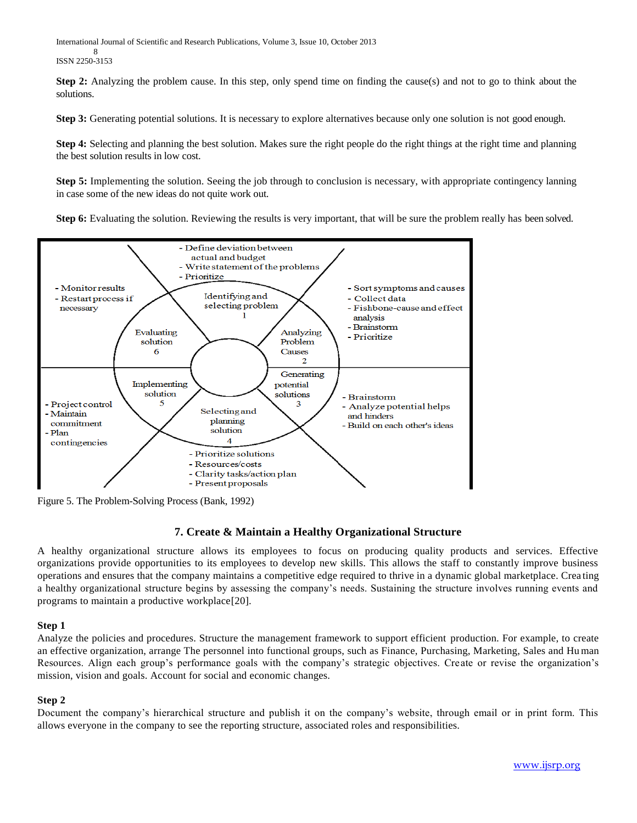International Journal of Scientific and Research Publications, Volume 3, Issue 10, October 2013 8 ISSN 2250-3153

**Step 2:** Analyzing the problem cause. In this step, only spend time on finding the cause(s) and not to go to think about the solutions.

**Step 3:** Generating potential solutions. It is necessary to explore alternatives because only one solution is not good enough.

**Step 4:** Selecting and planning the best solution. Makes sure the right people do the right things at the right time and planning the best solution results in low cost.

**Step 5:** Implementing the solution. Seeing the job through to conclusion is necessary, with appropriate contingency lanning in case some of the new ideas do not quite work out.

**Step 6:** Evaluating the solution. Reviewing the results is very important, that will be sure the problem really has been solved.



Figure 5. The Problem-Solving Process (Bank, 1992)

# **7. Create & Maintain a Healthy Organizational Structure**

A healthy organizational structure allows its employees to focus on producing quality products and services. Effective organizations provide opportunities to its employees to develop new skills. This allows the staff to constantly improve business operations and ensures that the company maintains a competitive edge required to thrive in a dynamic global marketplace. Crea ting a healthy organizational structure begins by assessing the company's needs. Sustaining the structure involves running events and programs to maintain a productive workplace[20].

# **Step 1**

Analyze the policies and procedures. Structure the management framework to support efficient production. For example, to create an effective organization, arrange The personnel into functional groups, such as Finance, Purchasing, Marketing, Sales and Hu man Resources. Align each group's performance goals with the company's strategic objectives. Create or revise the organization's mission, vision and goals. Account for social and economic changes.

# **Step 2**

Document the company's hierarchical structure and publish it on the company's website, through email or in print form. This allows everyone in the company to see the reporting structure, associated roles and responsibilities.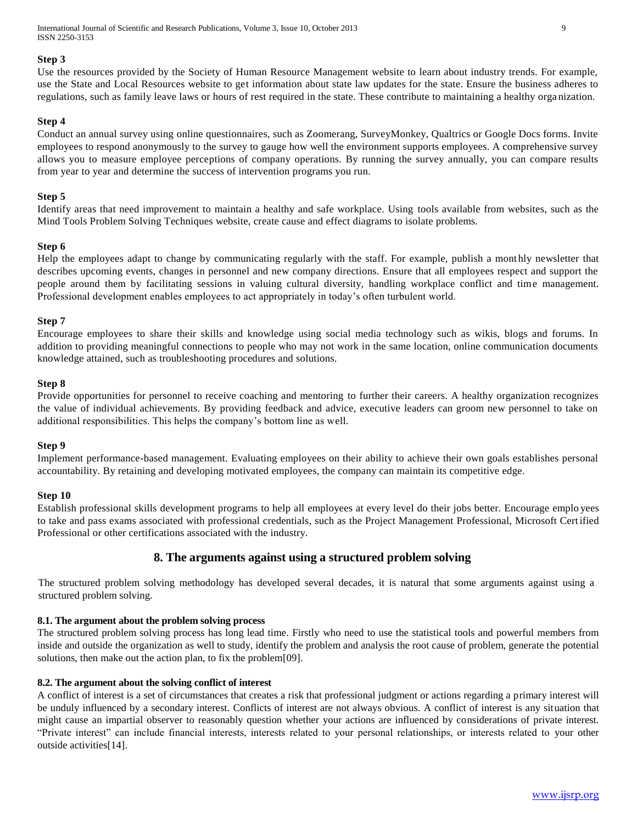International Journal of Scientific and Research Publications, Volume 3, Issue 10, October 2013 9 ISSN 2250-3153

#### **Step 3**

Use the resources provided by the Society of Human Resource Management website to learn about industry trends. For example, use the State and Local Resources website to get information about state law updates for the state. Ensure the business adheres to regulations, such as family leave laws or hours of rest required in the state. These contribute to maintaining a healthy orga nization.

#### **Step 4**

Conduct an annual survey using online questionnaires, such as Zoomerang, SurveyMonkey, Qualtrics or Google Docs forms. Invite employees to respond anonymously to the survey to gauge how well the environment supports employees. A comprehensive survey allows you to measure employee perceptions of company operations. By running the survey annually, you can compare results from year to year and determine the success of intervention programs you run.

#### **Step 5**

Identify areas that need improvement to maintain a healthy and safe workplace. Using tools available from websites, such as the Mind Tools Problem Solving Techniques website, create cause and effect diagrams to isolate problems.

#### **Step 6**

Help the employees adapt to change by communicating regularly with the staff. For example, publish a mont hly newsletter that describes upcoming events, changes in personnel and new company directions. Ensure that all employees respect and support the people around them by facilitating sessions in valuing cultural diversity, handling workplace conflict and time management. Professional development enables employees to act appropriately in today's often turbulent world.

#### **Step 7**

Encourage employees to share their skills and knowledge using social media technology such as wikis, blogs and forums. In addition to providing meaningful connections to people who may not work in the same location, online communication documents knowledge attained, such as troubleshooting procedures and solutions.

#### **Step 8**

Provide opportunities for personnel to receive coaching and mentoring to further their careers. A healthy organization recognizes the value of individual achievements. By providing feedback and advice, executive leaders can groom new personnel to take on additional responsibilities. This helps the company's bottom line as well.

#### **Step 9**

Implement performance-based management. Evaluating employees on their ability to achieve their own goals establishes personal accountability. By retaining and developing motivated employees, the company can maintain its competitive edge.

#### **Step 10**

Establish professional skills development programs to help all employees at every level do their jobs better. Encourage emplo yees to take and pass exams associated with professional credentials, such as the Project Management Professional, Microsoft Cert ified Professional or other certifications associated with the industry.

# **8. The arguments against using a structured problem solving**

The structured problem solving methodology has developed several decades, it is natural that some arguments against using a structured problem solving.

#### **8.1. The argument about the problem solving process**

The structured problem solving process has long lead time. Firstly who need to use the statistical tools and powerful members from inside and outside the organization as well to study, identify the problem and analysis the root cause of problem, generate the potential solutions, then make out the action plan, to fix the problem[09].

#### **8.2. The argument about the solving conflict of interest**

A conflict of interest is a set of circumstances that creates a risk that professional judgment or actions regarding a primary interest will be unduly influenced by a secondary interest. Conflicts of interest are not always obvious. A conflict of interest is any situation that might cause an impartial observer to reasonably question whether your actions are influenced by considerations of private interest. "Private interest" can include financial interests, interests related to your personal relationships, or interests related to your other outside activities[14].